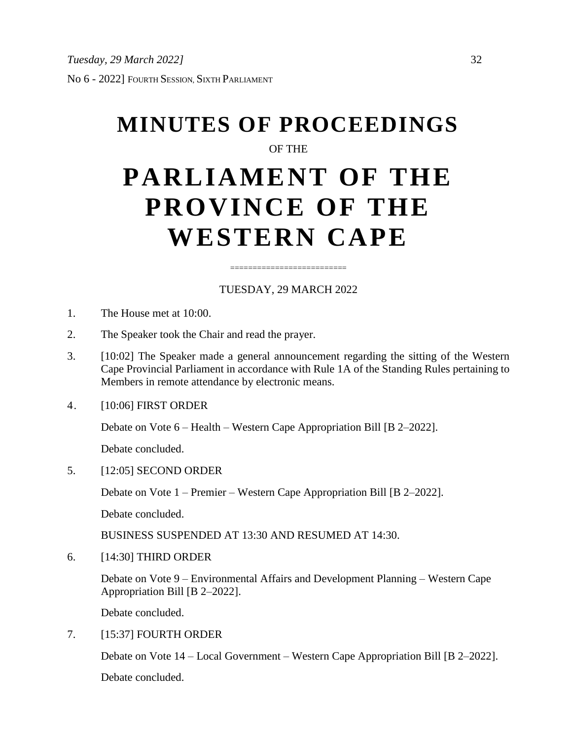# **MINUTES OF PROCEEDINGS**

## OF THE

## **PARLIAMENT OF THE PROVINCE OF THE WESTERN CAPE**

## TUESDAY, 29 MARCH 2022

==========================

- 1. The House met at 10:00.
- 2. The Speaker took the Chair and read the prayer.
- 3. [10:02] The Speaker made a general announcement regarding the sitting of the Western Cape Provincial Parliament in accordance with Rule 1A of the Standing Rules pertaining to Members in remote attendance by electronic means.
- 4. [10:06] FIRST ORDER

Debate on Vote 6 – Health – Western Cape Appropriation Bill [B 2–2022].

Debate concluded.

5. [12:05] SECOND ORDER

Debate on Vote 1 – Premier – Western Cape Appropriation Bill [B 2–2022].

Debate concluded.

BUSINESS SUSPENDED AT 13:30 AND RESUMED AT 14:30.

6. [14:30] THIRD ORDER

Debate on Vote 9 – Environmental Affairs and Development Planning – Western Cape Appropriation Bill [B 2–2022].

Debate concluded.

7. [15:37] FOURTH ORDER

Debate on Vote 14 – Local Government – Western Cape Appropriation Bill [B 2–2022].

Debate concluded.